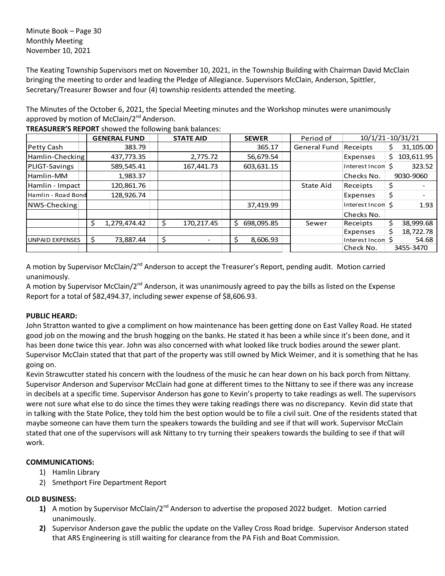Minute Book – Page 30 Monthly Meeting November 10, 2021

The Keating Township Supervisors met on November 10, 2021, in the Township Building with Chairman David McClain bringing the meeting to order and leading the Pledge of Allegiance. Supervisors McClain, Anderson, Spittler, Secretary/Treasurer Bowser and four (4) township residents attended the meeting.

The Minutes of the October 6, 2021, the Special Meeting minutes and the Workshop minutes were unanimously approved by motion of McClain/2<sup>nd</sup> Anderson.

|                        |    | <b>GENERAL FUND</b> |    | <b>STATE AID</b>         | <b>SEWER</b>    | Period of           | 10/1/21-10/31/21  |    |            |
|------------------------|----|---------------------|----|--------------------------|-----------------|---------------------|-------------------|----|------------|
| Petty Cash             |    | 383.79              |    |                          | 365.17          | <b>General Fund</b> | Receipts          | \$ | 31,105.00  |
| Hamlin-Checking        |    | 437,773.35          |    | 2,775.72                 | 56,679.54       |                     | Expenses          | \$ | 103,611.95 |
| PLIGT-Savings          |    | 589,545.41          |    | 167,441.73               | 603,631.15      |                     | Interest Incon \$ |    | 323.52     |
| Hamlin-MM              |    | 1,983.37            |    |                          |                 |                     | Checks No.        |    | 9030-9060  |
| Hamlin - Impact        |    | 120,861.76          |    |                          |                 | State Aid           | Receipts          | Ş  |            |
| Hamlin - Road Bond     |    | 128,926.74          |    |                          |                 |                     | Expenses          | \$ |            |
| NWS-Checking           |    |                     |    |                          | 37,419.99       |                     | Interest Incon \$ |    | 1.93       |
|                        |    |                     |    |                          |                 |                     | Checks No.        |    |            |
|                        | Ś. | 1,279,474.42        |    | 170,217.45               | Ś<br>698,095.85 | Sewer               | Receipts          | \$ | 38,999.68  |
|                        |    |                     |    |                          |                 |                     | Expenses          | \$ | 18,722.78  |
| <b>UNPAID EXPENSES</b> | \$ | 73,887.44           | \$ | $\overline{\phantom{0}}$ | \$<br>8,606.93  |                     | Interest Incon \$ |    | 54.68      |
|                        |    |                     |    |                          |                 |                     | Check No.         |    | 3455-3470  |

**TREASURER'S REPORT** showed the following bank balances:

A motion by Supervisor McClain/2<sup>nd</sup> Anderson to accept the Treasurer's Report, pending audit. Motion carried unanimously.

A motion by Supervisor McClain/2<sup>nd</sup> Anderson, it was unanimously agreed to pay the bills as listed on the Expense Report for a total of \$82,494.37, including sewer expense of \$8,606.93.

## **PUBLIC HEARD:**

John Stratton wanted to give a compliment on how maintenance has been getting done on East Valley Road. He stated good job on the mowing and the brush hogging on the banks. He stated it has been a while since it's been done, and it has been done twice this year. John was also concerned with what looked like truck bodies around the sewer plant. Supervisor McClain stated that that part of the property was still owned by Mick Weimer, and it is something that he has going on.

Kevin Strawcutter stated his concern with the loudness of the music he can hear down on his back porch from Nittany. Supervisor Anderson and Supervisor McClain had gone at different times to the Nittany to see if there was any increase in decibels at a specific time. Supervisor Anderson has gone to Kevin's property to take readings as well. The supervisors were not sure what else to do since the times they were taking readings there was no discrepancy. Kevin did state that in talking with the State Police, they told him the best option would be to file a civil suit. One of the residents stated that maybe someone can have them turn the speakers towards the building and see if that will work. Supervisor McClain stated that one of the supervisors will ask Nittany to try turning their speakers towards the building to see if that will work.

## **COMMUNICATIONS:**

- 1) Hamlin Library
- 2) Smethport Fire Department Report

## **OLD BUSINESS:**

- 1) A motion by Supervisor McClain/2<sup>nd</sup> Anderson to advertise the proposed 2022 budget. Motion carried unanimously.
- **2)** Supervisor Anderson gave the public the update on the Valley Cross Road bridge. Supervisor Anderson stated that ARS Engineering is still waiting for clearance from the PA Fish and Boat Commission.